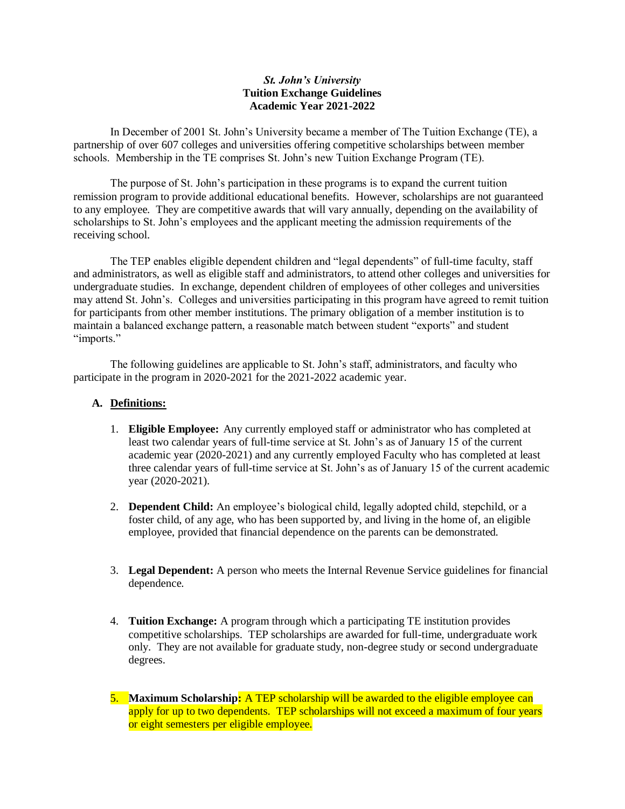## *St. John's University* **Tuition Exchange Guidelines Academic Year 2021-2022**

In December of 2001 St. John's University became a member of The Tuition Exchange (TE), a partnership of over 607 colleges and universities offering competitive scholarships between member schools. Membership in the TE comprises St. John's new Tuition Exchange Program (TE).

The purpose of St. John's participation in these programs is to expand the current tuition remission program to provide additional educational benefits. However, scholarships are not guaranteed to any employee. They are competitive awards that will vary annually, depending on the availability of scholarships to St. John's employees and the applicant meeting the admission requirements of the receiving school.

The TEP enables eligible dependent children and "legal dependents" of full-time faculty, staff and administrators, as well as eligible staff and administrators, to attend other colleges and universities for undergraduate studies. In exchange, dependent children of employees of other colleges and universities may attend St. John's. Colleges and universities participating in this program have agreed to remit tuition for participants from other member institutions. The primary obligation of a member institution is to maintain a balanced exchange pattern, a reasonable match between student "exports" and student "imports."

The following guidelines are applicable to St. John's staff, administrators, and faculty who participate in the program in 2020-2021 for the 2021-2022 academic year.

## **A. Definitions:**

- 1. **Eligible Employee:** Any currently employed staff or administrator who has completed at least two calendar years of full-time service at St. John's as of January 15 of the current academic year (2020-2021) and any currently employed Faculty who has completed at least three calendar years of full-time service at St. John's as of January 15 of the current academic year (2020-2021).
- 2. **Dependent Child:** An employee's biological child, legally adopted child, stepchild, or a foster child, of any age, who has been supported by, and living in the home of, an eligible employee, provided that financial dependence on the parents can be demonstrated.
- 3. **Legal Dependent:** A person who meets the Internal Revenue Service guidelines for financial dependence.
- 4. **Tuition Exchange:** A program through which a participating TE institution provides competitive scholarships. TEP scholarships are awarded for full-time, undergraduate work only. They are not available for graduate study, non-degree study or second undergraduate degrees.
- 5. **Maximum Scholarship:** A TEP scholarship will be awarded to the eligible employee can apply for up to two dependents. TEP scholarships will not exceed a maximum of four years or eight semesters per eligible employee.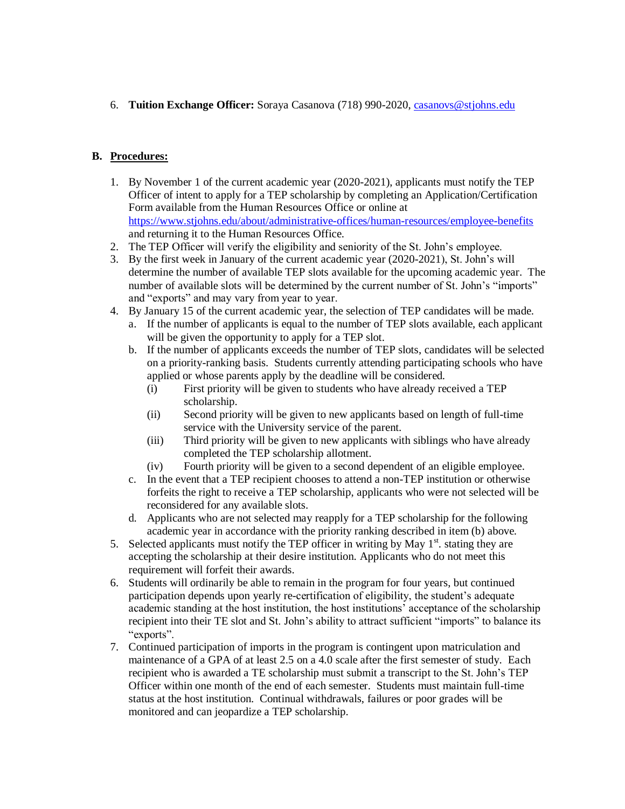6. **Tuition Exchange Officer:** Soraya Casanova (718) 990-2020, [casanovs@stjohns.edu](mailto:casanovs@stjohns.edu)

## **B. Procedures:**

- 1. By November 1 of the current academic year (2020-2021), applicants must notify the TEP Officer of intent to apply for a TEP scholarship by completing an Application/Certification Form available from the Human Resources Office or online at <https://www.stjohns.edu/about/administrative-offices/human-resources/employee-benefits> and returning it to the Human Resources Office.
- 2. The TEP Officer will verify the eligibility and seniority of the St. John's employee.
- 3. By the first week in January of the current academic year (2020-2021), St. John's will determine the number of available TEP slots available for the upcoming academic year. The number of available slots will be determined by the current number of St. John's "imports" and "exports" and may vary from year to year.
- 4. By January 15 of the current academic year, the selection of TEP candidates will be made.
	- a. If the number of applicants is equal to the number of TEP slots available, each applicant will be given the opportunity to apply for a TEP slot.
	- b. If the number of applicants exceeds the number of TEP slots, candidates will be selected on a priority-ranking basis. Students currently attending participating schools who have applied or whose parents apply by the deadline will be considered.
		- (i) First priority will be given to students who have already received a TEP scholarship.
		- (ii) Second priority will be given to new applicants based on length of full-time service with the University service of the parent.
		- (iii) Third priority will be given to new applicants with siblings who have already completed the TEP scholarship allotment.
		- (iv) Fourth priority will be given to a second dependent of an eligible employee.
	- c. In the event that a TEP recipient chooses to attend a non-TEP institution or otherwise forfeits the right to receive a TEP scholarship, applicants who were not selected will be reconsidered for any available slots.
	- d. Applicants who are not selected may reapply for a TEP scholarship for the following academic year in accordance with the priority ranking described in item (b) above.
- 5. Selected applicants must notify the TEP officer in writing by May  $1<sup>st</sup>$ . stating they are accepting the scholarship at their desire institution. Applicants who do not meet this requirement will forfeit their awards.
- 6. Students will ordinarily be able to remain in the program for four years, but continued participation depends upon yearly re-certification of eligibility, the student's adequate academic standing at the host institution, the host institutions' acceptance of the scholarship recipient into their TE slot and St. John's ability to attract sufficient "imports" to balance its "exports".
- 7. Continued participation of imports in the program is contingent upon matriculation and maintenance of a GPA of at least 2.5 on a 4.0 scale after the first semester of study. Each recipient who is awarded a TE scholarship must submit a transcript to the St. John's TEP Officer within one month of the end of each semester. Students must maintain full-time status at the host institution. Continual withdrawals, failures or poor grades will be monitored and can jeopardize a TEP scholarship.